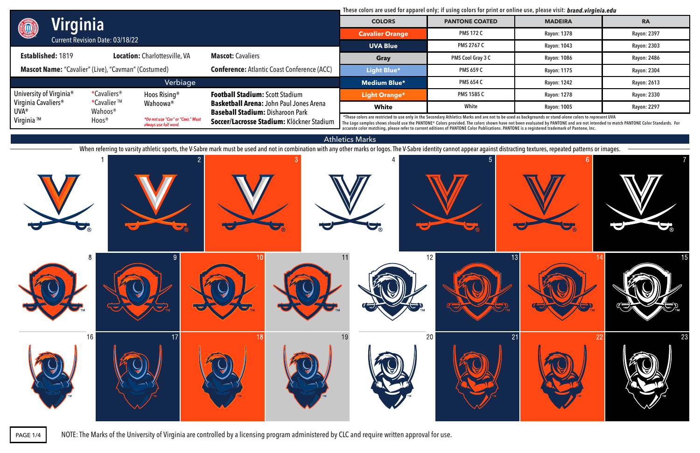## Athletics Marks

When referring to varsity athletic sports, the V-Sabre mark must be used and not in combination with any other marks or logos. The V-Sabre identity cannot appear against distracting textures, repeated patterns or images.



**accurate color matching, please refer to current editions of PANTONE Color Publications. PANTONE is a registered trademark of Pantone, Inc.**

These colors are used for apparel only; if using colors for print or online use, please visit: **brand.virginia.edu** 

|                                                                                                                  | Virginia                |                                                            | <b>COLORS</b>                                                                             | <b>PANTONE COATED</b>                                                                                                                                                                                                                                                                                                                    | <b>MADEIRA</b>     | <b>RA</b>          |                    |
|------------------------------------------------------------------------------------------------------------------|-------------------------|------------------------------------------------------------|-------------------------------------------------------------------------------------------|------------------------------------------------------------------------------------------------------------------------------------------------------------------------------------------------------------------------------------------------------------------------------------------------------------------------------------------|--------------------|--------------------|--------------------|
| O                                                                                                                |                         | <b>Cavalier Orange</b>                                     | <b>PMS 172 C</b>                                                                          | Rayon: 1378                                                                                                                                                                                                                                                                                                                              | Rayon: 2397        |                    |                    |
| <b>Current Revision Date: 03/18/22</b>                                                                           |                         | <b>UVA Blue</b>                                            | <b>PMS 2767 C</b>                                                                         | Rayon: 1043                                                                                                                                                                                                                                                                                                                              | Rayon: 2303        |                    |                    |
| <b>Established: 1819</b>                                                                                         |                         | <b>Location: Charlottesville, VA</b>                       | <b>Mascot: Cavaliers</b>                                                                  | Gray                                                                                                                                                                                                                                                                                                                                     | PMS Cool Gray 3 C  | Rayon: 1086        | <b>Rayon: 2486</b> |
| <b>Mascot Name:</b> "Cavalier" (Live), "Cavman" (Costumed)<br><b>Conference: Atlantic Coast Conference (ACC)</b> |                         |                                                            | Light Blue*                                                                               | <b>PMS 659 C</b>                                                                                                                                                                                                                                                                                                                         | <b>Rayon: 1175</b> | <b>Rayon: 2304</b> |                    |
|                                                                                                                  |                         | Verbiage                                                   |                                                                                           | <b>Medium Blue*</b>                                                                                                                                                                                                                                                                                                                      | <b>PMS 654 C</b>   | Rayon: 1242        | Rayon: 2613        |
| University of Virginia <sup>®</sup>                                                                              | *Cavaliers <sup>®</sup> | Hoos Rising <sup>®</sup>                                   | <b>Football Stadium: Scott Stadium</b>                                                    | Light Orange*                                                                                                                                                                                                                                                                                                                            | <b>PMS 1585 C</b>  | Rayon: 1278        | Rayon: 2330        |
| Virginia Cavaliers <sup>®</sup><br><b>UVA®</b>                                                                   | *Cavalier™<br>Wahoos®   | Wahoowa®                                                   | <b>Basketball Arena: John Paul Jones Arena</b><br><b>Baseball Stadium: Disharoon Park</b> | <b>White</b>                                                                                                                                                                                                                                                                                                                             | White              | <b>Rayon: 1005</b> | Rayon: 2297        |
| Virginia ™                                                                                                       | Hoos®                   | *Do not use "Cav" or "Cavs." Must<br>always use full word. | Soccer/Lacrosse Stadium: Klöckner Stadium                                                 | *These colors are restricted to use only in the Secondary Athletics Marks and are not to be used as backgrounds or stand-alone colors to represent UVA<br>The Logo samples shows should use the PANTONE® Colors provided. The colors shown have not been evaluated by PANTONE and are not intended to match PANTONE Color Standards. For |                    |                    |                    |

NOTE: The Marks of the University of Virginia are controlled by a licensing program administered by CLC and require written approval for use.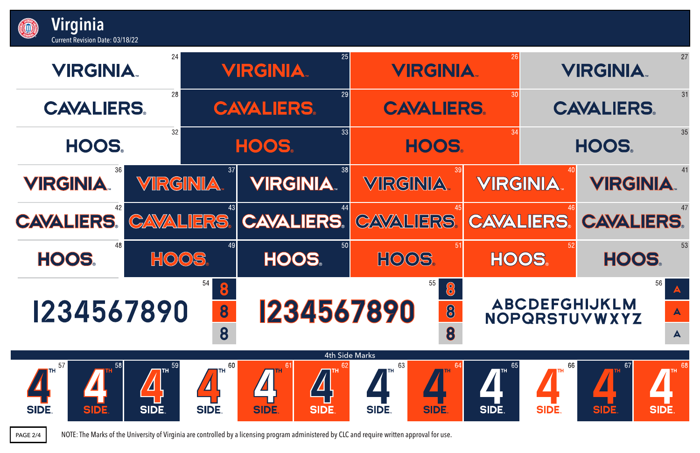

| <b>Current Revision Date: 03/18/22</b> |           |                           |                     |    |                                       |                                                 |
|----------------------------------------|-----------|---------------------------|---------------------|----|---------------------------------------|-------------------------------------------------|
| <b>VIRGINIA</b>                        | 24        |                           | <b>VIRGINIA.</b>    | 25 | <b>VIRGINIA</b>                       |                                                 |
| <b>CAVALIERS</b>                       | 28        |                           | <b>CAVALIERS.</b>   | 29 | <b>CAVALIERS.</b>                     |                                                 |
| <b>HOOS</b>                            | 32        |                           | HOOS.               | 33 | <b>HOOS</b>                           |                                                 |
| 36<br><b>VIRGINIA</b>                  | VIRGINIA. | 37                        | <b>VIRGINIA</b>     | 38 | 39<br>VRGINIA                         | <b>VIRG</b>                                     |
| 42<br><b>CAVALIERS  </b>               |           | 43                        | CAVALIERS CAVALIERS | 44 | 45<br><b>CAVALIERS.</b>               | CAVA                                            |
| 48<br><b>HOOS</b>                      | HOOS.     | 49                        | HOOS                | 50 | 51<br>HOOOS                           | HC                                              |
| 1234567890                             |           | 54<br>$\bullet$<br>8<br>8 | 1234567890          |    | 55<br>$\circ$<br>$\bigcirc$<br>8<br>8 | $\overline{\mathsf{A}\mathsf{B}}$<br><b>NOF</b> |

**Virginia**

ECTI

PAGE 2/4 NOTE: The Marks of the University of Virginia are controlled by a licensing program administered by CLC and require written approval for use.

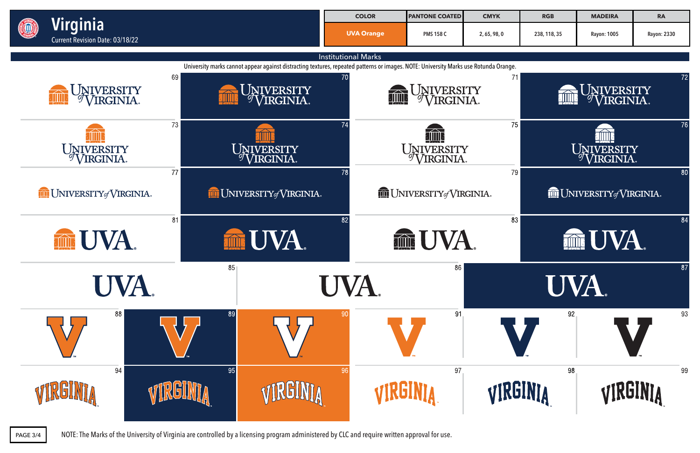

PAGE 3/4 NOTE: The Marks of the University of Virginia are controlled by a licensing program administered by CLC and require written approval for use.

| <b>RGB</b>   | <b>MADEIRA</b> | <b>RA</b>          |
|--------------|----------------|--------------------|
| 238, 118, 35 | Rayon: 1005    | <b>Rayon: 2330</b> |